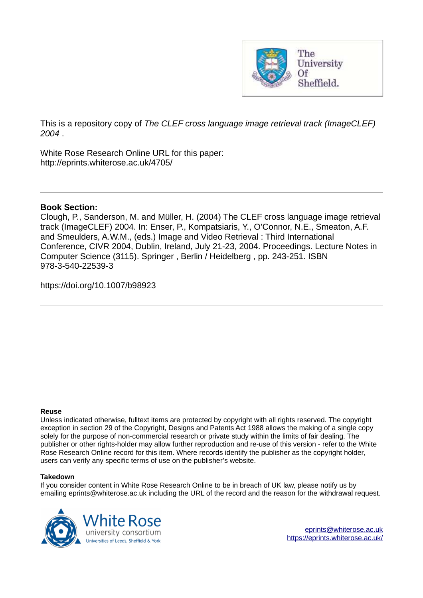

This is a repository copy of *The CLEF cross language image retrieval track (ImageCLEF) 2004* .

White Rose Research Online URL for this paper: http://eprints.whiterose.ac.uk/4705/

# **Book Section:**

Clough, P., Sanderson, M. and Müller, H. (2004) The CLEF cross language image retrieval track (ImageCLEF) 2004. In: Enser, P., Kompatsiaris, Y., O'Connor, N.E., Smeaton, A.F. and Smeulders, A.W.M., (eds.) Image and Video Retrieval : Third International Conference, CIVR 2004, Dublin, Ireland, July 21-23, 2004. Proceedings. Lecture Notes in Computer Science (3115). Springer , Berlin / Heidelberg , pp. 243-251. ISBN 978-3-540-22539-3

https://doi.org/10.1007/b98923

## **Reuse**

Unless indicated otherwise, fulltext items are protected by copyright with all rights reserved. The copyright exception in section 29 of the Copyright, Designs and Patents Act 1988 allows the making of a single copy solely for the purpose of non-commercial research or private study within the limits of fair dealing. The publisher or other rights-holder may allow further reproduction and re-use of this version - refer to the White Rose Research Online record for this item. Where records identify the publisher as the copyright holder, users can verify any specific terms of use on the publisher's website.

# **Takedown**

If you consider content in White Rose Research Online to be in breach of UK law, please notify us by emailing eprints@whiterose.ac.uk including the URL of the record and the reason for the withdrawal request.

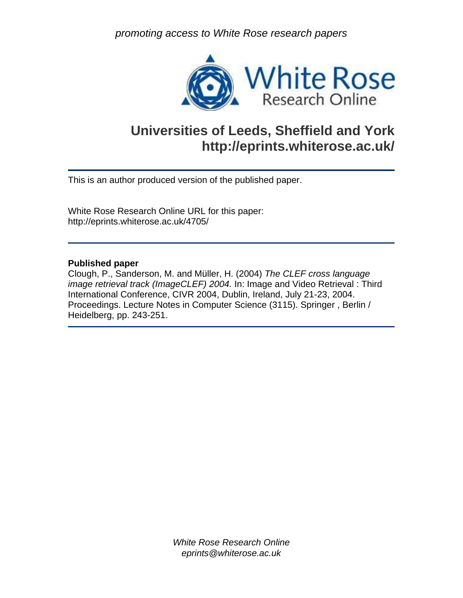promoting access to White Rose research papers



# **Universities of Leeds, Sheffield and York http://eprints.whiterose.ac.uk/**

This is an author produced version of the published paper.

White Rose Research Online URL for this paper: http://eprints.whiterose.ac.uk/4705/

# **Published paper**

Clough, P., Sanderson, M. and Müller, H. (2004) The CLEF cross language image retrieval track (ImageCLEF) 2004. In: Image and Video Retrieval : Third International Conference, CIVR 2004, Dublin, Ireland, July 21-23, 2004. Proceedings. Lecture Notes in Computer Science (3115). Springer , Berlin / Heidelberg, pp. 243-251.

> White Rose Research Online eprints@whiterose.ac.uk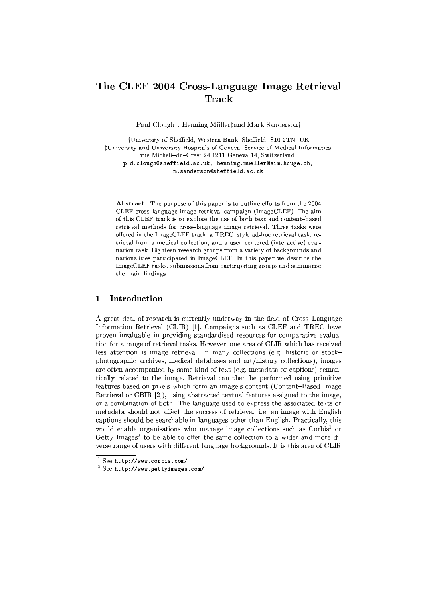# The CLEF 2004 Cross-Language Image Retrieval Track

Paul Clought, Henning Müller‡and Mark Sandersont

†University of Sheffield, Western Bank, Sheffield, S10 2TN, UK †University and University Hospitals of Geneva. Service of Medical Informatics. rue Micheli-du-Crest 24,1211 Geneva 14, Switzerland. p.d.clough@sheffield.ac.uk, henning.mueller@sim.hcuge.ch, m.sanderson@sheffield.ac.uk

Abstract. The purpose of this paper is to outline efforts from the 2004 CLEF cross-language image retrieval campaign (ImageCLEF). The aim of this CLEF track is to explore the use of both text and content-based retrieval methods for cross-language image retrieval. Three tasks were offered in the ImageCLEF track: a TREC-style ad-hoc retrieval task, retrieval from a medical collection, and a user-centered (interactive) evaluation task. Eighteen research groups from a variety of backgrounds and nationalities participated in ImageCLEF. In this paper we describe the ImageCLEF tasks, submissions from participating groups and summarise the main findings.

#### $\mathbf{1}$ Introduction

A great deal of research is currently underway in the field of Cross-Language Information Retrieval (CLIR) [1]. Campaigns such as CLEF and TREC have proven invaluable in providing standardised resources for comparative evaluation for a range of retrieval tasks. However, one area of CLIR which has received less attention is image retrieval. In many collections (e.g. historic or stockphotographic archives, medical databases and art/history collections), images are often accompanied by some kind of text (e.g. metadata or captions) semantically related to the image. Retrieval can then be performed using primitive features based on pixels which form an image's content (Content–Based Image Retrieval or CBIR [2]), using abstracted textual features assigned to the image, or a combination of both. The language used to express the associated texts or metadata should not affect the success of retrieval, i.e. an image with English captions should be searchable in languages other than English. Practically, this would enable organisations who manage image collections such as Corbis<sup>1</sup> or Getty Images<sup>2</sup> to be able to offer the same collection to a wider and more diverse range of users with different language backgrounds. It is this area of CLIR

 $1$  See http://www.corbis.com/

 $2$  See http://www.gettyimages.com/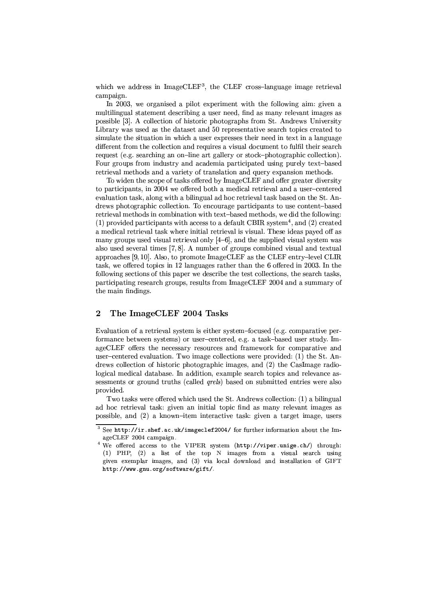which we address in ImageCLEF<sup>3</sup>, the CLEF cross-language image retrieval campaign.

In 2003, we organised a pilot experiment with the following aim: given a multilingual statement describing a user need, find as many relevant images as possible [3]. A collection of historic photographs from St. Andrews University Library was used as the dataset and 50 representative search topics created to simulate the situation in which a user expresses their need in text in a language different from the collection and requires a visual document to fulfil their search request (e.g. searching an on-line art gallery or stock-photographic collection). Four groups from industry and academia participated using purely text-based retrieval methods and a variety of translation and query expansion methods.

To widen the scope of tasks offered by ImageCLEF and offer greater diversity to participants, in 2004 we offered both a medical retrieval and a user-centered evaluation task, along with a bilingual ad hoc retrieval task based on the St. Andrews photographic collection. To encourage participants to use content-based retrieval methods in combination with text-based methods, we did the following: (1) provided participants with access to a default CBIR system<sup>4</sup>, and (2) created a medical retrieval task where initial retrieval is visual. These ideas payed off as many groups used visual retrieval only  $[4-6]$ , and the supplied visual system was also used several times [7,8]. A number of groups combined visual and textual approaches [9, 10]. Also, to promote  $ImageCLEF$  as the CLEF entry-level CLIR task, we offered topics in 12 languages rather than the 6 offered in 2003. In the following sections of this paper we describe the test collections, the search tasks, participating research groups, results from ImageCLEF 2004 and a summary of the main findings.

#### The ImageCLEF 2004 Tasks  $\overline{2}$

Evaluation of a retrieval system is either system-focused (e.g. comparative performance between systems) or user-centered, e.g. a task-based user study. ImageCLEF offers the necessary resources and framework for comparative and user-centered evaluation. Two image collections were provided: (1) the St. Andrews collection of historic photographic images, and  $(2)$  the CasImage radiological medical database. In addition, example search topics and relevance assessments or ground truths (called *grels*) based on submitted entries were also provided.

Two tasks were offered which used the St. Andrews collection: (1) a bilingual ad hoc retrieval task: given an initial topic find as many relevant images as possible, and (2) a known-item interactive task: given a target image, users

 $3$  See http://ir.shef.ac.uk/imageclef2004/ for further information about the ImageCLEF 2004 campaign.

<sup>&</sup>lt;sup>4</sup> We offered access to the VIPER system (http://viper.unige.ch/) through: (1) PHP, (2) a list of the top N images from a visual search using given exemplar images, and (3) via local download and installation of GIFT http://www.gnu.org/software/gift/.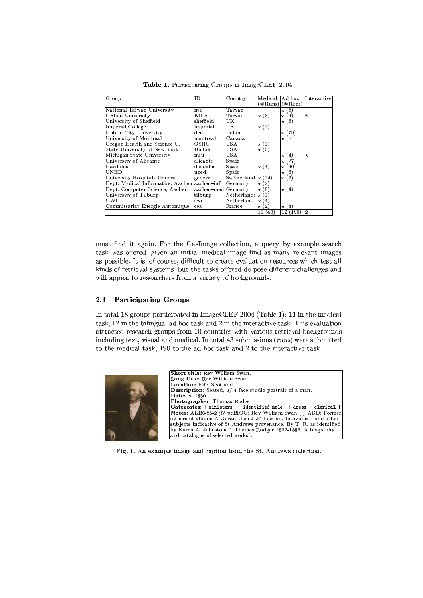| Group                                        | ID                 | Country                  | Medical     | IAd-hoc-              | Interactivel |
|----------------------------------------------|--------------------|--------------------------|-------------|-----------------------|--------------|
|                                              |                    |                          |             | $(\#Runs)$ $(\#Runs)$ |              |
| National Taiwan University                   | ntu                | Taiwan                   |             | $\star$ (5)           |              |
| I-Shou University                            | KIDS               | Taiwan                   | $\star$ (3) | $\star$ (4)           | $\star$      |
| University of Sheffield                      | sheffield          | UK                       |             | $\star$ (5)           |              |
| Imperial College                             | imperial           | UK                       | $\star(1)$  |                       |              |
| Dublin City University                       | dcu                | Ireland                  |             | $\star$ (79)          |              |
| University of Montreal                       | montreal           | Canada                   |             | $\star$ (11)          |              |
| Oregon Health and Science U.                 | OSHU               | USA                      | $\star(1)$  |                       |              |
| State University of New York                 | Buffalo            | USA                      | $\star$ (3) |                       |              |
| Michigan State University                    | msu                | USA                      |             | (4)<br>$\star$        | $\star$      |
| University of Alicante                       | alicante           | Spain                    |             | (27)<br>$\star$       |              |
| Daedalus                                     | daedalus           | Spain                    | $\star$ (4) | $\star$ (40)          |              |
| UNED                                         | uned               | Spain                    |             | $\star$ (5)           |              |
| University Hospitals Geneva                  | geneva             | Switzerland $\star$ (14) |             | $\star$ (2)           |              |
| Dept. Medical Informatics, Aachen aachen-inf |                    | Germany                  | $\star$ (2) |                       |              |
| Dept. Computer Science, Aachen               | aachen-med Germany |                          | $\star$ (8) | $\star$ (4)           |              |
| University of Tilburg                        | tilburg            | Netherlands $\star$ (1)  |             |                       |              |
| CWI                                          | cwi                | Netherlands $\star$ (4)  |             |                       |              |
| Commissariat Energie Automique cea           |                    | France                   | $\star$ (2) | $\star$ (4)           |              |
|                                              |                    |                          | 11(43)      | $12(190)$ $ 2$        |              |

Table 1. Participating Groups in ImageCLEF 2004.

must find it again. For the CasImage collection, a query-by-example search task was offered: given an initial medical image find as many relevant images as possible. It is, of course, difficult to create evaluation resources which test all kinds of retrieval systems, but the tasks offered do pose different challenges and will appeal to researchers from a variety of backgrounds.

## 2.1 Participating Groups

In total 18 groups participated in ImageCLEF 2004 (Table 1): 11 in the medical task, 12 in the bilingual ad hoc task and 2 in the interactive task. This evaluation attracted research groups from 10 countries with various retrieval backgrounds including text, visual and medical. In total 43 submissions (runs) were submitted to the medical task, 190 to the ad-hoc task and 2 to the interactive task.



Short title: Rev William Swan. Long title: Rev William Swan. Location: Fife, Scotland Description: Seated, 3/4 face studio portrait of a man. Date: ca.1850 Date: ca.1000<br>Photographer: Thomas Rodger<br>Categories: [ ministers ][ identified male ][ dress - clerical ] Notes: ALB6-85-2 jf/ pcBIOG: Rev William Swan () ADD: Former owners of album: A Govan then J J? Lowson. Individuals and other subjects indicative of St Andrews provenance. By T. R. as identified<br>by Karen A. Johnstone " Thomas Rodger 1832-1883. A biography and catalogue of selected works"

Fig. 1. An example image and caption from the St. Andrews collection.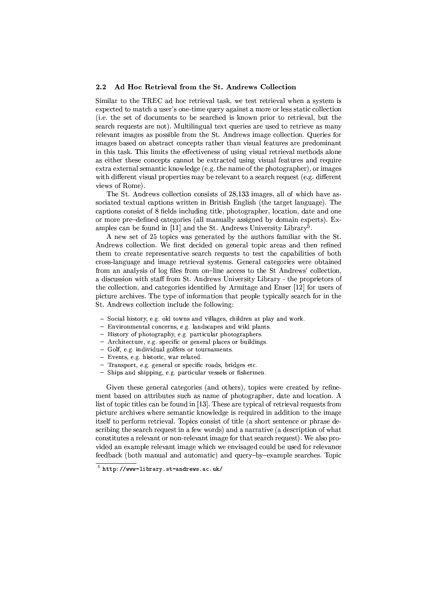#### $2.2$ Ad Hoc Retrieval from the St. Andrews Collection

Similar to the TREC ad hoc retrieval task, we test retrieval when a system is expected to match a user's one-time query against a more or less static collection (i.e. the set of documents to be searched is known prior to retrieval, but the search requests are not). Multilingual text queries are used to retrieve as many relevant images as possible from the St. Andrews image collection. Queries for images based on abstract concepts rather than visual features are predominant in this task. This limits the effectiveness of using visual retrieval methods alone as either these concepts cannot be extracted using visual features and require extra external semantic knowledge (e.g. the name of the photographer), or images with different visual properties may be relevant to a search request (e.g. different views of Rome).

The St. Andrews collection consists of 28,133 images, all of which have associated textual captions written in British English (the target language). The captions consist of 8 fields including title, photographer, location, date and one or more pre-defined categories (all manually assigned by domain experts). Examples can be found in [11] and the St. Andrews University Library<sup>5</sup>.

A new set of 25 topics was generated by the authors familiar with the St. Andrews collection. We first decided on general topic areas and then refined them to create representative search requests to test the capabilities of both cross-language and image retrieval systems. General categories were obtained from an analysis of log files from on-line access to the St Andrews' collection. a discussion with staff from St. Andrews University Library - the proprietors of the collection, and categories identified by Armitage and Enser [12] for users of picture archives. The type of information that people typically search for in the St. Andrews collection include the following:

- Social history, e.g. old towns and villages, children at play and work.
- Environmental concerns, e.g. landscapes and wild plants.
- History of photography, e.g. particular photographers.
- Architecture, e.g. specific or general places or buildings.
- Golf, e.g. individual golfers or tournaments.
- Events, e.g. historic, war related.
- Transport, e.g. general or specific roads, bridges etc.
- Ships and shipping, e.g. particular vessels or fishermen.

Given these general categories (and others), topics were created by refinement based on attributes such as name of photographer, date and location. A list of topic titles can be found in [13]. These are typical of retrieval requests from picture archives where semantic knowledge is required in addition to the image itself to perform retrieval. Topics consist of title (a short sentence or phrase describing the search request in a few words) and a narrative (a description of what constitutes a relevant or non-relevant image for that search request). We also provided an example relevant image which we envisaged could be used for relevance feedback (both manual and automatic) and query-by-example searches. Topic

 $5$  http://www-library.st-andrews.ac.uk/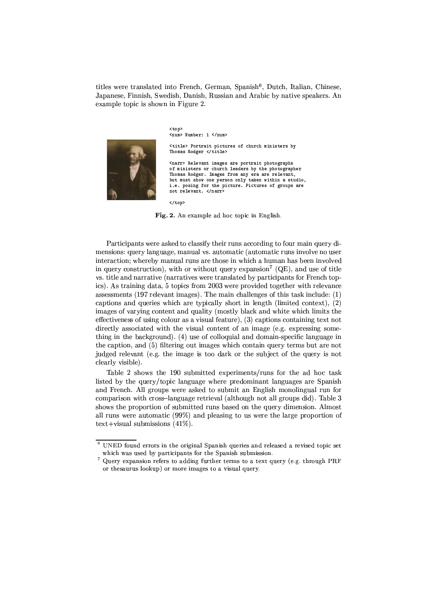titles were translated into French, German, Spanish<sup>6</sup>, Dutch, Italian, Chinese, Japanese, Finnish, Swedish, Danish, Russian and Arabic by native speakers. An example topic is shown in Figure 2.



<top>  $\langle$ num $\rangle$  Number: 1  $\langle$ /num $\rangle$ <title> Portrait pictures of church ministers by Thomas Rodger </title> <narr> Relevant images are portrait photographs of ministers or church leaders by the photographer Thomas Rodger. Images from any era are relevant, but must show one person only taken within a studio, i.e. posing for the picture. Pictures of groups are not relevant. </narr> </top>

Fig. 2. An example ad hoc topic in English.

Participants were asked to classify their runs according to four main query dimensions: query language, manual vs. automatic (automatic runs involve no user interaction; whereby manual runs are those in which a human has been involved in query construction), with or without query expansion<sup>7</sup> (QE), and use of title vs. title and narrative (narratives were translated by participants for French topics). As training data, 5 topics from 2003 were provided together with relevance assessments (197 relevant images). The main challenges of this task include:  $(1)$ captions and queries which are typically short in length (limited context),  $(2)$ images of varying content and quality (mostly black and white which limits the effectiveness of using colour as a visual feature), (3) captions containing text not directly associated with the visual content of an image (e.g. expressing something in the background). (4) use of colloquial and domain-specific language in the caption, and (5) filtering out images which contain query terms but are not judged relevant (e.g. the image is too dark or the subject of the query is not clearly visible).

Table 2 shows the 190 submitted experiments/runs for the ad hoc task listed by the query/topic language where predominant languages are Spanish and French. All groups were asked to submit an English monolingual run for comparison with cross-language retrieval (although not all groups did). Table 3 shows the proportion of submitted runs based on the query dimension. Almost all runs were automatic (99%) and pleasing to us were the large proportion of  $text+visual submissions (41%).$ 

 $6$  UNED found errors in the original Spanish queries and released a revised topic set which was used by participants for the Spanish submission.

 $^7$  Query expansion refers to adding further terms to a text query (e.g. through PRF or thesaurus lookup) or more images to a visual query.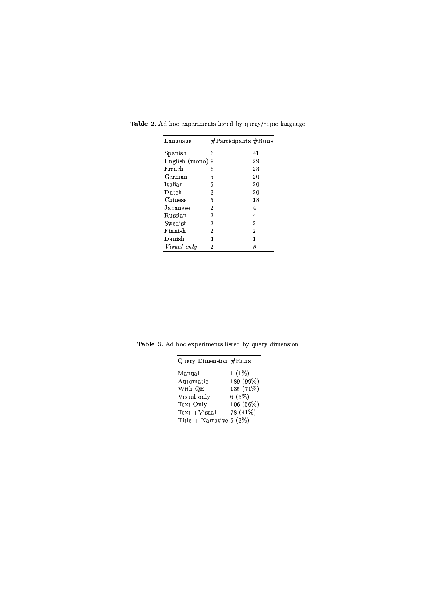| Language           | $#$ Participants $#$ Runs |    |
|--------------------|---------------------------|----|
| Spanish            | 6                         | 41 |
| English (mono) 9   |                           | 29 |
| French             | 6                         | 23 |
| German             | 5                         | 20 |
| Italian            | 5                         | 20 |
| Dutch              | 3                         | 20 |
| Chinese            | 5                         | 18 |
| Japanese           | 2                         | 4  |
| <b>Russian</b>     | 2                         | 4  |
| Swedish            | 2                         | 2  |
| Finnish            | 2                         | 2  |
| Danish             | 1                         | 1  |
| <i>Visual</i> only | 2                         | ĥ  |
|                    |                           |    |

Table 2. Ad hoc experiments listed by query/topic language.

 $\sim$ 

<u> 1989 - Johann Barn, mars ann an t-Amhain Aonaich an t-Aonaich an t-Aonaich ann an t-Aonaich ann an t-Aonaich</u>

Table 3. Ad hoc experiments listed by query dimension.

| Query Dimension #Runs      |           |
|----------------------------|-----------|
| Manual                     | $1(1\%)$  |
| Automatic                  | 189 (99%) |
| With QE                    | 135 (71%) |
| Visual only                | 6(3%)     |
| Text Only                  | 106 (56%) |
| Text +Visual               | 78 (41%)  |
| Title + Narrative $5(3\%)$ |           |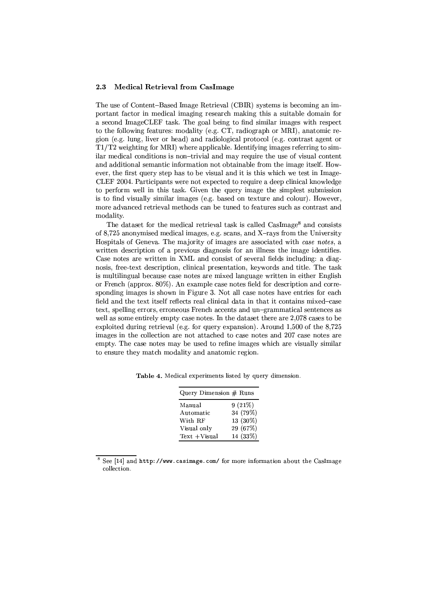#### 2.3 **Medical Retrieval from CasImage**

The use of Content-Based Image Retrieval (CBIR) systems is becoming an important factor in medical imaging research making this a suitable domain for a second ImageCLEF task. The goal being to find similar images with respect to the following features: modality (e.g. CT, radiograph or MRI), anatomic region (e.g. lung, liver or head) and radiological protocol (e.g. contrast agent or  $T1/T2$  weighting for MRI) where applicable. Identifying images referring to similar medical conditions is non-trivial and may require the use of visual content and additional semantic information not obtainable from the image itself. However, the first query step has to be visual and it is this which we test in Image-CLEF 2004. Participants were not expected to require a deep clinical knowledge to perform well in this task. Given the query image the simplest submission is to find visually similar images (e.g. based on texture and colour). However, more advanced retrieval methods can be tuned to features such as contrast and modality.

The dataset for the medical retrieval task is called CasImage<sup>8</sup> and consists of 8.725 anonymised medical images, e.g. scans, and X-rays from the University Hospitals of Geneva. The majority of images are associated with case notes, a written description of a previous diagnosis for an illness the image identifies. Case notes are written in XML and consist of several fields including: a diagnosis, free-text description, clinical presentation, keywords and title. The task is multilingual because case notes are mixed language written in either English or French (approx.  $80\%$ ). An example case notes field for description and corresponding images is shown in Figure 3. Not all case notes have entries for each field and the text itself reflects real clinical data in that it contains mixed-case text, spelling errors, erroneous French accents and un-grammatical sentences as well as some entirely empty case notes. In the dataset there are 2,078 cases to be exploited during retrieval (e.g. for query expansion). Around 1,500 of the 8,725 images in the collection are not attached to case notes and 207 case notes are empty. The case notes may be used to refine images which are visually similar to ensure they match modality and anatomic region.

Table 4. Medical experiments listed by query dimension.

| Query Dimension $#$ Runs |          |
|--------------------------|----------|
| Manual                   | 9(21%)   |
| Automatic                | 34 (79%) |
| With RF                  | 13 (30%) |
| Visual only              | 29 (67%) |
| Text +Visual             | 14 (33%) |

 $8$  See [14] and  $http://www.casimage.com/$  for more information about the CasImage collection.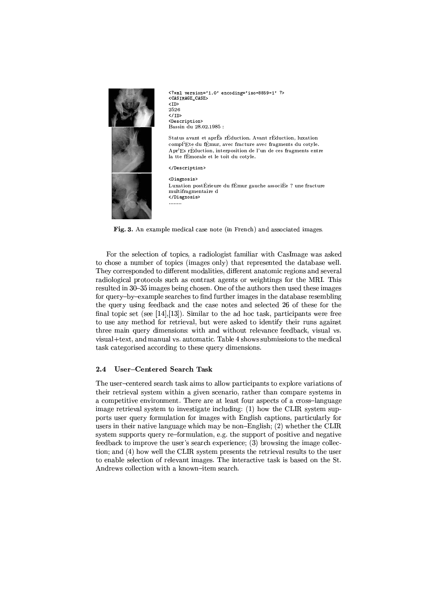

Fig. 3. An example medical case note (in French) and associated images.

For the selection of topics, a radiologist familiar with CasImage was asked to chose a number of topics (images only) that represented the database well. They corresponded to different modalities, different anatomic regions and several radiological protocols such as contrast agents or weightings for the MRI. This resulted in 30–35 images being chosen. One of the authors then used these images for query-by-example searches to find further images in the database resembling the query using feedback and the case notes and selected 26 of these for the final topic set (see  $[14]$ ,  $[13]$ ). Similar to the ad hoc task, participants were free to use any method for retrieval, but were asked to identify their runs against three main query dimensions: with and without relevance feedback, visual vs. visual+text, and manual vs. automatic. Table 4 shows submissions to the medical task categorised according to these query dimensions.

#### User-Centered Search Task  $2.4$

The user-centered search task aims to allow participants to explore variations of their retrieval system within a given scenario, rather than compare systems in a competitive environment. There are at least four aspects of a cross-language image retrieval system to investigate including: (1) how the CLIR system supports user query formulation for images with English captions, particularly for users in their native language which may be non-English;  $(2)$  whether the CLIR system supports query re-formulation, e.g. the support of positive and negative feedback to improve the user's search experience; (3) browsing the image collection; and (4) how well the CLIR system presents the retrieval results to the user to enable selection of relevant images. The interactive task is based on the St. Andrews collection with a known-item search.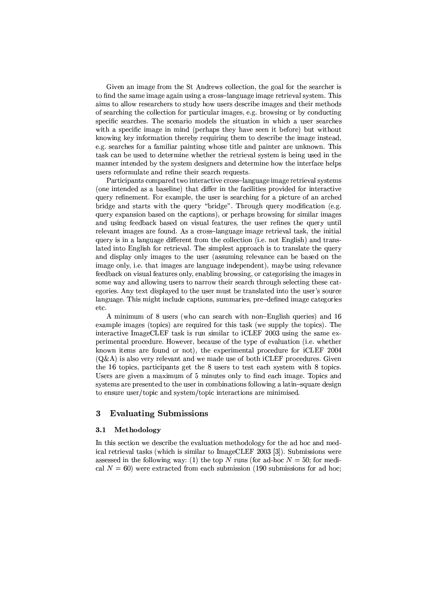Given an image from the St Andrews collection, the goal for the searcher is to find the same image again using a cross-language image retrieval system. This aims to allow researchers to study how users describe images and their methods of searching the collection for particular images, e.g. browsing or by conducting specific searches. The scenario models the situation in which a user searches with a specific image in mind (perhaps they have seen it before) but without knowing key information thereby requiring them to describe the image instead, e.g. searches for a familiar painting whose title and painter are unknown. This task can be used to determine whether the retrieval system is being used in the manner intended by the system designers and determine how the interface helps users reformulate and refine their search requests.

Participants compared two interactive cross-language image retrieval systems (one intended as a baseline) that differ in the facilities provided for interactive query refinement. For example, the user is searching for a picture of an arched bridge and starts with the query "bridge". Through query modification (e.g. query expansion based on the captions), or perhaps browsing for similar images and using feedback based on visual features, the user refines the query until relevant images are found. As a cross-language image retrieval task, the initial query is in a language different from the collection (i.e. not English) and translated into English for retrieval. The simplest approach is to translate the query and display only images to the user (assuming relevance can be based on the image only, i.e. that images are language independent), maybe using relevance feedback on visual features only, enabling browsing, or categorising the images in some way and allowing users to narrow their search through selecting these categories. Any text displayed to the user must be translated into the user's source language. This might include captions, summaries, pre-defined image categories  $etc.$ 

A minimum of 8 users (who can search with non-English queries) and 16 example images (topics) are required for this task (we supply the topics). The interactive ImageCLEF task is run similar to iCLEF 2003 using the same experimental procedure. However, because of the type of evaluation (i.e. whether known items are found or not), the experimental procedure for iCLEF 2004  $(Q\&A)$  is also very relevant and we made use of both iCLEF procedures. Given the 16 topics, participants get the 8 users to test each system with 8 topics. Users are given a maximum of 5 minutes only to find each image. Topics and systems are presented to the user in combinations following a latin-square design to ensure user/topic and system/topic interactions are minimised.

#### 3 **Evaluating Submissions**

#### $3.1$ Methodology

In this section we describe the evaluation methodology for the ad hoc and medical retrieval tasks (which is similar to ImageCLEF 2003 [3]). Submissions were assessed in the following way: (1) the top N runs (for ad-hoc  $N = 50$ ; for medical  $N = 60$ ) were extracted from each submission (190 submissions for ad hoc;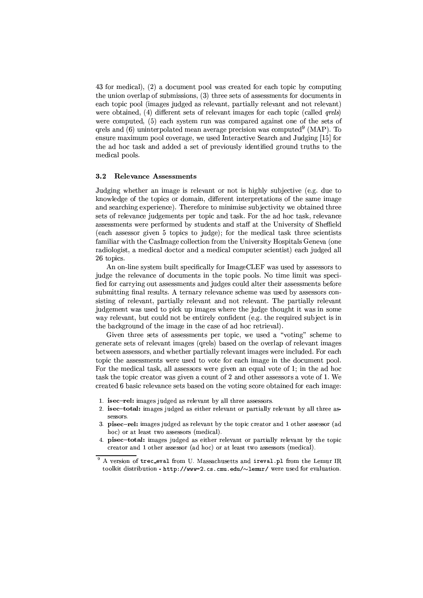43 for medical), (2) a document pool was created for each topic by computing the union overlap of submissions, (3) three sets of assessments for documents in each topic pool (images judged as relevant, partially relevant and not relevant) were obtained, (4) different sets of relevant images for each topic (called *qrels*) were computed, (5) each system run was compared against one of the sets of arels and (6) uninterpolated mean average precision was computed  $(MAP)$ . To ensure maximum pool coverage, we used Interactive Search and Judging [15] for the ad hoc task and added a set of previously identified ground truths to the medical pools.

#### $3.2$ **Relevance Assessments**

Judging whether an image is relevant or not is highly subjective (e.g. due to knowledge of the topics or domain, different interpretations of the same image and searching experience). Therefore to minimise subjectivity we obtained three sets of relevance judgements per topic and task. For the ad hoc task, relevance assessments were performed by students and staff at the University of Sheffield (each assessor given 5 topics to judge); for the medical task three scientists familiar with the CasImage collection from the University Hospitals Geneva (one radiologist, a medical doctor and a medical computer scientist) each judged all 26 topics.

An on-line system built specifically for ImageCLEF was used by assessors to judge the relevance of documents in the topic pools. No time limit was specified for carrying out assessments and judges could alter their assessments before submitting final results. A ternary relevance scheme was used by assessors consisting of relevant, partially relevant and not relevant. The partially relevant judgement was used to pick up images where the judge thought it was in some way relevant, but could not be entirely confident (e.g. the required subject is in the background of the image in the case of ad hoc retrieval).

Given three sets of assessments per topic, we used a "voting" scheme to generate sets of relevant images (qrels) based on the overlap of relevant images between assessors, and whether partially relevant images were included. For each topic the assessments were used to vote for each image in the document pool. For the medical task, all assessors were given an equal vote of 1; in the ad hoc task the topic creator was given a count of 2 and other assessors a vote of 1. We created 6 basic relevance sets based on the voting score obtained for each image:

- 1. isec-rel: images judged as relevant by all three assessors.
- 2. isec-total: images judged as either relevant or partially relevant by all three assessors.
- 3. pisec-rel: images judged as relevant by the topic creator and 1 other assessor (ad hoc) or at least two assessors (medical).
- 4. pisec-total: images judged as either relevant or partially relevant by the topic creator and 1 other assessor (ad hoc) or at least two assessors (medical).

 $9$  A version of trec\_eval from U. Massachusetts and ireval.pl from the Lemur IR toolkit distribution - http://www-2.cs.cmu.edu/~lemur/ were used for evaluation.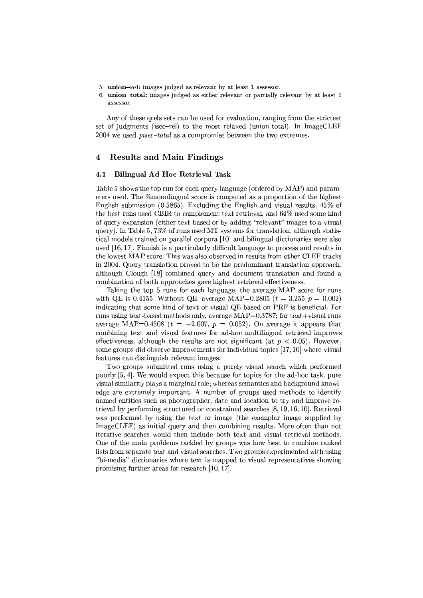- 5. union-rel: images judged as relevant by at least 1 assessor.
- 6. union-total: images judged as either relevant or partially relevant by at least 1 assessor.

Any of these grels sets can be used for evaluation, ranging from the strictest set of judgments (isec-rel) to the most relaxed (union-total). In ImageCLEF  $2004$  we used *pisec-total* as a compromise between the two extremes.

#### **Results and Main Findings** 4

#### **Bilingual Ad Hoc Retrieval Task**  $4.1$

Table 5 shows the top run for each query language (ordered by MAP) and parameters used. The %monolingual score is computed as a proportion of the highest English submission (0.5865). Excluding the English and visual results,  $45\%$  of the best runs used CBIR to complement text retrieval, and 64% used some kind of query expansion (either text-based or by adding "relevant" images to a visual query). In Table 5, 73% of runs used MT systems for translation, although statistical models trained on parallel corpora [10] and bilingual dictionaries were also used [16, 17]. Finnish is a particularly difficult language to process and results in the lowest MAP score. This was also observed in results from other CLEF tracks in 2004. Query translation proved to be the predominant translation approach, although Clough [18] combined query and document translation and found a combination of both approaches gave highest retrieval effectiveness.

Taking the top 5 runs for each language, the average MAP score for runs with QE is 0.4155. Without QE, average MAP=0.2805 ( $t = 3.255$   $p = 0.002$ ) indicating that some kind of text or visual QE based on PRF is beneficial. For runs using text-based methods only, average MAP=0.3787; for text+visual runs average MAP=0.4508 ( $t = -2.007$ ,  $p = 0.052$ ). On average it appears that combining text and visual features for ad-hoc multilingual retrieval improves effectiveness, although the results are not significant (at  $p < 0.05$ ). However, some groups did observe improvements for individual topics [17, 10] where visual features can distinguish relevant images.

Two groups submitted runs using a purely visual search which performed poorly [5,4]. We would expect this because for topics for the ad-hoc task, pure visual similarity plays a marginal role; whereas semantics and background knowledge are extremely important. A number of groups used methods to identify named entities such as photographer, date and location to try and improve retrieval by performing structured or constrained searches [8, 19, 16, 10]. Retrieval was performed by using the text or image (the exemplar image supplied by ImageCLEF) as initial query and then combining results. More often than not iterative searches would then include both text and visual retrieval methods. One of the main problems tackled by groups was how best to combine ranked lists from separate text and visual searches. Two groups experimented with using "bi-media" dictionaries where text is mapped to visual representatives showing promising further areas for research  $[10, 17]$ .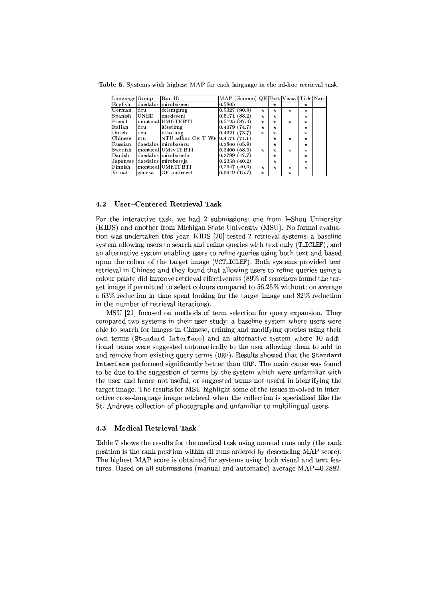Table 5. Systems with highest MAP for each language in the ad-hoc retrieval task.

| Language Group! |             | Run ID                          | MAP          | (%mono) QE Text Visual Title Narr |         |         |         |         |  |
|-----------------|-------------|---------------------------------|--------------|-----------------------------------|---------|---------|---------|---------|--|
| English         |             | daedalus mirobaseen             | 0.5865       |                                   |         | $\star$ |         | $\star$ |  |
| German          | ldcu.       | delsmgimg                       | 0.5327       | (90.8)                            | $\star$ | $\star$ | $\star$ | $\star$ |  |
| Spanish         | <b>UNED</b> | unedesent                       | 0.5171       | (88.2)                            | $\star$ | $\star$ |         | $\star$ |  |
| French          |             | montreal UMfrTFBTI              | 0.5125(87.4) |                                   | $\star$ | $\star$ | $\star$ | $\star$ |  |
| Italian         | dcu         | itlsstimg                       | 0.4379(74.7) |                                   | $\star$ | $\star$ |         | $\star$ |  |
| Dutch           | dcu         | nllsstimg                       | 0.4321(73.7) |                                   | $\star$ | $\star$ |         | $\star$ |  |
| Chinese         | ntu         | NTU-adhoc-CE-T-WE 0.4171 (71.1) |              |                                   |         | $\star$ | $\star$ | $\star$ |  |
| Russian         |             | daedalus Imirobaseru            | 0.3866(65.9) |                                   |         | $\star$ |         | $\star$ |  |
| Swedish         |             | montreal UMsyTFBTI              | 0.3400       | (58.0)                            | $\star$ | $\star$ | $\star$ | $\star$ |  |
| Danish          |             | daedalus Imirobaseda            | 0.2799(47.7) |                                   |         | $\star$ |         | $\star$ |  |
| Japanese        |             | Idaedalus Imirobaseia           | 0.2358(40.2) |                                   |         | $\star$ |         | $\star$ |  |
| Finnish         |             | montreal UMfiTFBTI              | 0.2347       | (40.0)                            | $\star$ | $\star$ | $\star$ | $\star$ |  |
| Visual          | geneva      | <b>GE</b> andrew4               | 0.0919       | (15.7)                            | $\star$ |         | $\star$ |         |  |

### 4.2 User-Centered Retrieval Task

For the interactive task, we had 2 submissions: one from I-Shou University (KIDS) and another from Michigan State University (MSU). No formal evaluation was undertaken this year. KIDS [20] tested 2 retrieval systems: a baseline system allowing users to search and refine queries with text only (T\_ICLEF), and an alternative system enabling users to refine queries using both text and based upon the colour of the target image (VCT\_ICLEF). Both systems provided text retrieval in Chinese and they found that allowing users to refine queries using a colour palate did improve retrieval effectiveness (89% of searchers found the target image if permitted to select colours compared to 56.25% without; on average a 63% reduction in time spent looking for the target image and 82% reduction in the number of retrieval iterations).

MSU [21] focused on methods of term selection for query expansion. They compared two systems in their user study: a baseline system where users were able to search for images in Chinese, refining and modifying queries using their own terms (Standard Interface) and an alternative system where 10 additional terms were suggested automatically to the user allowing them to add to and remove from existing query terms (URF). Results showed that the Standard Interface performed significantly better than URF. The main cause was found to be due to the suggestion of terms by the system which were unfamiliar with the user and hence not useful, or suggested terms not useful in identifying the target image. The results for MSU highlight some of the issues involved in interactive cross-language image retrieval when the collection is specialised like the St. Andrews collection of photographs and unfamiliar to multilingual users.

#### **Medical Retrieval Task** 4.3

Table 7 shows the results for the medical task using manual runs only (the rank position is the rank position within all runs ordered by descending MAP score). The highest MAP score is obtained for systems using both visual and text features. Based on all submissions (manual and automatic) average  $MAP=0.2882$ .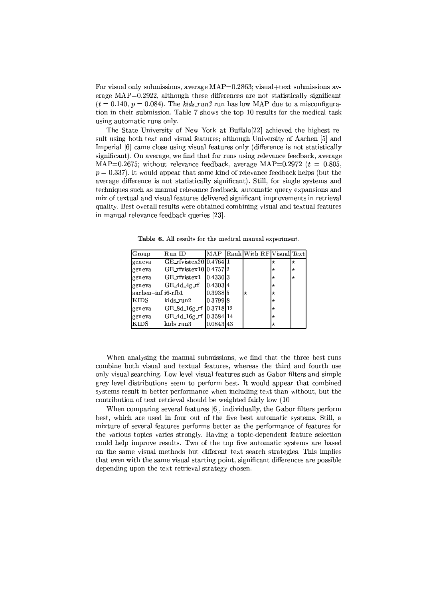For visual only submissions, average  $MAP=0.2863$ ; visual+text submissions average  $MAP=0.2922$ , although these differences are not statistically significant  $(t = 0.140, p = 0.084)$ . The kids\_run s run has low MAP due to a misconfiguration in their submission. Table 7 shows the top 10 results for the medical task using automatic runs only.

The State University of New York at Buffalo<sup>[22]</sup> achieved the highest result using both text and visual features; although University of Aachen [5] and Imperial [6] came close using visual features only (difference is not statistically significant). On average, we find that for runs using relevance feedback, average MAP=0.2675; without relevance feedback, average MAP=0.2972 ( $t = 0.805$ ,  $p = 0.337$ . It would appear that some kind of relevance feedback helps (but the average difference is not statistically significant). Still, for single systems and techniques such as manual relevance feedback, automatic query expansions and mix of textual and visual features delivered significant improvements in retrieval quality. Best overall results were obtained combining visual and textual features in manual relevance feedback queries [23].

Table 6. All results for the medical manual experiment.

| Group              | Run ID                    | MAP       | Rank With RF Visual Text |            |   |
|--------------------|---------------------------|-----------|--------------------------|------------|---|
| geneva             | $GE\_fivistex20 0.4764 1$ |           |                          | $^\star$   | ★ |
| geneva             | $GE\_rfvistex10 0.4757 2$ |           |                          | $^{\star}$ | ★ |
| geneva             | GE rfvistex1              | 0.4330 3  |                          | $^\star$   | ★ |
| geneva             | $GE_4d_4g_1$              | 0.4303 4  |                          | $^\star$   |   |
| aachen-inf i6-rfb1 |                           | 0.3938 5  | $^\star$                 | $^\star$   |   |
| KIDS               | kids_run2                 | 0.379918  |                          | $^\star$   |   |
| geneva             | GE 8d 16g rf 0.3718 12    |           |                          | $^\star$   |   |
| geneva             | GE_4d_16g_rf  0.3584 14   |           |                          | $^\star$   |   |
| <b>KIDS</b>        | kids_run3                 | 0.0843 43 |                          | $^\star$   |   |

When analysing the manual submissions, we find that the three best runs combine both visual and textual features, whereas the third and fourth use only visual searching. Low level visual features such as Gabor filters and simple grey level distributions seem to perform best. It would appear that combined systems result in better performance when including text than without, but the contribution of text retrieval should be weighted fairly low (10

When comparing several features [6], individually, the Gabor filters perform best, which are used in four out of the five best automatic systems. Still, a mixture of several features performs better as the performance of features for the various topics varies strongly. Having a topic-dependent feature selection could help improve results. Two of the top five automatic systems are based on the same visual methods but different text search strategies. This implies that even with the same visual starting point, significant differences are possible depending upon the text-retrieval strategy chosen.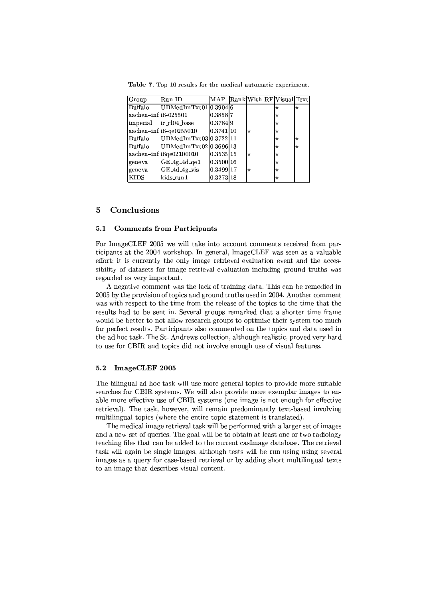Table 7. Top 10 results for the medical automatic experiment.

| Group                | Run ID                        | MAP       | Rank With RF Visual Text |          |          |
|----------------------|-------------------------------|-----------|--------------------------|----------|----------|
| Buffalo              | UBMedImTxt01 0.3904 6         |           |                          | $\star$  | $\star$  |
| aachen-inf i6-025501 |                               | 10.385817 |                          | $^\star$ |          |
|                      | imperial ic_cl04_base         | 0.3784 9  |                          | $\star$  |          |
|                      | aachen-inf $i6$ -qe $0255010$ | 0.3741 10 | $\star$                  | $^\star$ |          |
|                      | Buffalo UBMedImTxt030.3722 11 |           |                          | $^\star$ | $^\star$ |
|                      | Buffalo UBMedImTxt0200.369613 |           |                          | $\star$  | $^\star$ |
|                      | aachen-inf i6ge02100010       | 0 3535 15 | $\star$                  | $\star$  |          |
| geneva               | $GE_4g_4d_4el$                | 0.3500 16 |                          | $^\star$ |          |
|                      | geneva GE_4d_4g_vis           | 0.3499 17 | $^\star$                 | $^\star$ |          |
| KIDS                 | kids_run1                     | 0.3273 18 |                          | $^\star$ |          |

#### $\mathbf{5}$ Conclusions

#### $5.1$ **Comments from Participants**

For ImageCLEF 2005 we will take into account comments received from participants at the 2004 workshop. In general, ImageCLEF was seen as a valuable effort: it is currently the only image retrieval evaluation event and the accessibility of datasets for image retrieval evaluation including ground truths was regarded as very important.

A negative comment was the lack of training data. This can be remedied in 2005 by the provision of topics and ground truths used in 2004. Another comment was with respect to the time from the release of the topics to the time that the results had to be sent in. Several groups remarked that a shorter time frame would be better to not allow research groups to optimize their system too much for perfect results. Participants also commented on the topics and data used in the ad hoc task. The St. Andrews collection, although realistic, proved very hard to use for CBIR and topics did not involve enough use of visual features.

#### $5.2$ ImageCLEF 2005

The bilingual ad hoc task will use more general topics to provide more suitable searches for CBIR systems. We will also provide more exemplar images to enable more effective use of CBIR systems (one image is not enough for effective retrieval). The task, however, will remain predominantly text-based involving multilingual topics (where the entire topic statement is translated).

The medical image retrieval task will be performed with a larger set of images and a new set of queries. The goal will be to obtain at least one or two radiology teaching files that can be added to the current casImage database. The retrieval task will again be single images, although tests will be run using using several images as a query for case-based retrieval or by adding short multilingual texts to an image that describes visual content.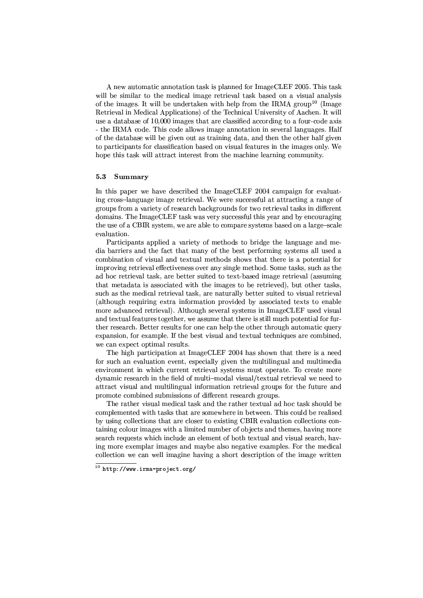A new automatic annotation task is planned for ImageCLEF 2005. This task will be similar to the medical image retrieval task based on a visual analysis of the images. It will be undertaken with help from the IRMA group<sup>10</sup> (Image Retrieval in Medical Applications) of the Technical University of Aachen. It will use a database of 10,000 images that are classified according to a four-code axis - the IRMA code. This code allows image annotation in several languages. Half of the database will be given out as training data, and then the other half given to participants for classification based on visual features in the images only. We hope this task will attract interest from the machine learning community.

#### $5.3$ Summary

In this paper we have described the ImageCLEF 2004 campaign for evaluating cross-language image retrieval. We were successful at attracting a range of groups from a variety of research backgrounds for two retrieval tasks in different domains. The ImageCLEF task was very successful this year and by encouraging the use of a CBIR system, we are able to compare systems based on a large-scale evaluation.

Participants applied a variety of methods to bridge the language and media barriers and the fact that many of the best performing systems all used a combination of visual and textual methods shows that there is a potential for improving retrieval effectiveness over any single method. Some tasks, such as the ad hoc retrieval task, are better suited to text-based image retrieval (assuming that metadata is associated with the images to be retrieved), but other tasks. such as the medical retrieval task, are naturally better suited to visual retrieval (although requiring extra information provided by associated texts to enable more advanced retrieval). Although several systems in ImageCLEF used visual and textual features together, we assume that there is still much potential for further research. Better results for one can help the other through automatic query expansion, for example. If the best visual and textual techniques are combined, we can expect optimal results.

The high participation at ImageCLEF 2004 has shown that there is a need for such an evaluation event, especially given the multilingual and multimedia environment in which current retrieval systems must operate. To create more dynamic research in the field of multi-modal visual/textual retrieval we need to attract visual and multilingual information retrieval groups for the future and promote combined submissions of different research groups.

The rather visual medical task and the rather textual ad hoc task should be complemented with tasks that are somewhere in between. This could be realised by using collections that are closer to existing CBIR evaluation collections containing colour images with a limited number of objects and themes, having more search requests which include an element of both textual and visual search, having more exemplar images and maybe also negative examples. For the medical collection we can well imagine having a short description of the image written

 $10$  http://www.irma-project.org/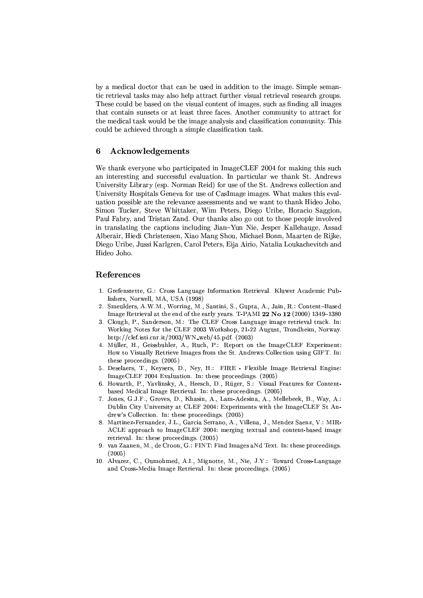by a medical doctor that can be used in addition to the image. Simple semantic retrieval tasks may also help attract further visual retrieval research groups. These could be based on the visual content of images, such as finding all images that contain sunsets or at least three faces. Another community to attract for the medical task would be the image analysis and classification community. This could be achieved through a simple classification task.

#### $\boldsymbol{6}$ Acknowledgements

We thank everyone who participated in ImageCLEF 2004 for making this such an interesting and successful evaluation. In particular we thank St. Andrews University Library (esp. Norman Reid) for use of the St. Andrews collection and University Hospitals Geneva for use of CasImage images. What makes this evaluation possible are the relevance assessments and we want to thank Hideo Joho, Simon Tucker, Steve Whittaker, Wim Peters, Diego Uribe, Horacio Saggion, Paul Fabry, and Tristan Zand. Our thanks also go out to those people involved in translating the captions including Jian–Yun Nie, Jesper Kallehauge, Assad Alberair, Hiedi Christensen, Xiao Mang Shou, Michael Bonn, Maarten de Rijke, Diego Uribe, Jussi Karlgren, Carol Peters, Eija Airio, Natalia Loukachevitch and Hideo Joho.

### References

- 1. Grefenstette, G.: Cross Language Information Retrieval. Kluwer Academic Publishers, Norwell, MA, USA (1998)
- 2. Smeulders, A.W.M., Worring, M., Santini, S., Gupta, A., Jain, R.: Content-Based Image Retrieval at the end of the early years. T-PAMI 22 No 12 (2000) 1349-1380
- 3. Clough, P., Sanderson, M.: The CLEF Cross Language image retrieval track. In: Working Notes for the CLEF 2003 Workshop, 21-22 August, Trondheim, Norway. http://clef.isti.cnr.it/2003/WN\_web/45.pdf. (2003)
- 4. Müller, H., Geissbuhler, A., Ruch, P.: Report on the ImageCLEF Experiment: How to Visually Retrieve Images from the St. Andrews Collection using GIFT. In: these proceedings. (2005)
- 5. Deselaers, T., Keysers, D., Ney, H.: FIRE Flexible Image Retrieval Engine: ImageCLEF 2004 Evaluation. In: these proceedings. (2005)
- Howarth, P., Yavlinsky, A., Heesch, D., Rüger, S.: Visual Features for Content- $6.$ based Medical Image Retrieval. In: these proceedings. (2005)
- 7. Jones, G.J.F., Groves, D., Khasin, A., Lam-Adesina, A., Mellebeek, B., Way, A.: Dublin City University at CLEF 2004: Experiments with the ImageCLEF St Andrew's Collection. In: these proceedings. (2005)
- Martinez-Fernandez, J.L., Garcia Serrano, A., Villena, J., Mendez Saenz, V.: MIR-8. ACLE approach to ImageCLEF 2004: merging textual and content-based image retrieval. In: these proceedings. (2005)
- 9. van Zaanen, M., de Croon, G.: FINT: Find Images aNd Text. In: these proceedings.  $(2005)$
- 10. Alvarez, C., Oumohmed, A.I., Mignotte, M., Nie, J.Y.: Toward Cross-Language and Cross-Media Image Retrieval. In: these proceedings. (2005)